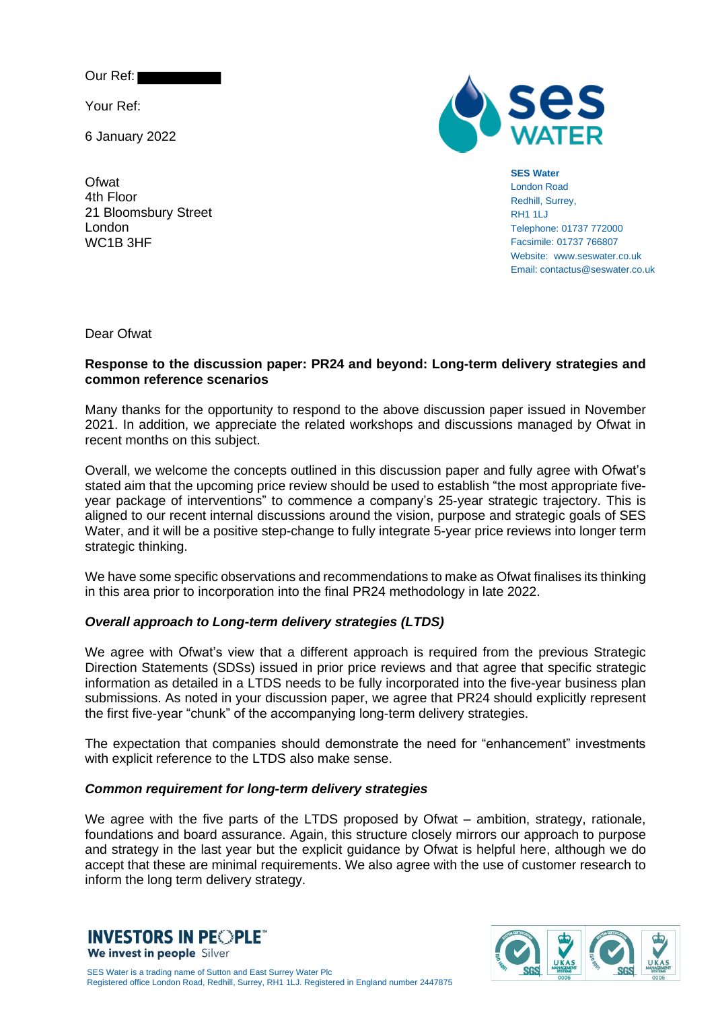Our Ref:

Your Ref:

**Ofwat** 

6 January 2022



### **SES Water**

London Road Redhill, Surrey, RH1 1LJ Telephone: 01737 772000 Facsimile: 01737 766807 Website: www.seswater.co.uk Email: contactus@seswater.co.uk

4th Floor 21 Bloomsbury Street London WC1B 3HF

Dear Ofwat

## **Response to the discussion paper: PR24 and beyond: Long-term delivery strategies and common reference scenarios**

Many thanks for the opportunity to respond to the above discussion paper issued in November 2021. In addition, we appreciate the related workshops and discussions managed by Ofwat in recent months on this subject.

Overall, we welcome the concepts outlined in this discussion paper and fully agree with Ofwat's stated aim that the upcoming price review should be used to establish "the most appropriate fiveyear package of interventions" to commence a company's 25-year strategic trajectory. This is aligned to our recent internal discussions around the vision, purpose and strategic goals of SES Water, and it will be a positive step-change to fully integrate 5-year price reviews into longer term strategic thinking.

We have some specific observations and recommendations to make as Ofwat finalises its thinking in this area prior to incorporation into the final PR24 methodology in late 2022.

## *Overall approach to Long-term delivery strategies (LTDS)*

We agree with Ofwat's view that a different approach is required from the previous Strategic Direction Statements (SDSs) issued in prior price reviews and that agree that specific strategic information as detailed in a LTDS needs to be fully incorporated into the five-year business plan submissions. As noted in your discussion paper, we agree that PR24 should explicitly represent the first five-year "chunk" of the accompanying long-term delivery strategies.

The expectation that companies should demonstrate the need for "enhancement" investments with explicit reference to the LTDS also make sense.

## *Common requirement for long-term delivery strategies*

We agree with the five parts of the LTDS proposed by Ofwat – ambition, strategy, rationale, foundations and board assurance. Again, this structure closely mirrors our approach to purpose and strategy in the last year but the explicit guidance by Ofwat is helpful here, although we do accept that these are minimal requirements. We also agree with the use of customer research to inform the long term delivery strategy.